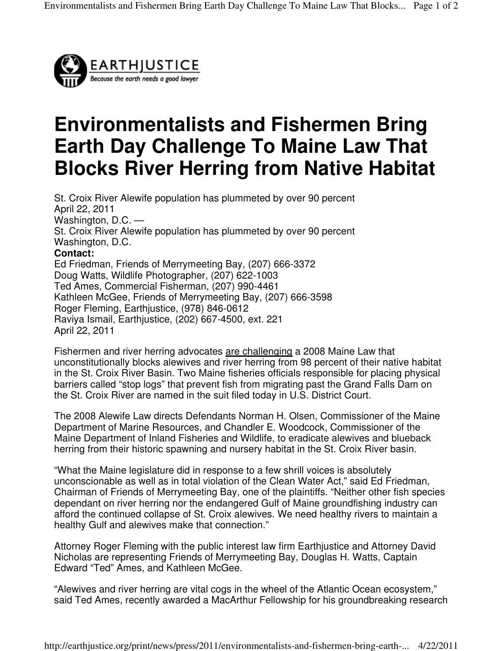

## **Environmentalists and Fishermen Bring Earth Day Challenge To Maine Law That Blocks River Herring from Native Habitat**

St. Croix River Alewife population has plummeted by over 90 percent April 22, 2011 Washington, D.C. — St. Croix River Alewife population has plummeted by over 90 percent Washington, D.C. **Contact:**  Ed Friedman, Friends of Merrymeeting Bay, (207) 666-3372 Doug Watts, Wildlife Photographer, (207) 622-1003 Ted Ames, Commercial Fisherman, (207) 990-4461 Kathleen McGee, Friends of Merrymeeting Bay, (207) 666-3598 Roger Fleming, Earthjustice, (978) 846-0612 Raviya Ismail, Earthjustice, (202) 667-4500, ext. 221 April 22, 2011

Fishermen and river herring advocates are challenging a 2008 Maine Law that unconstitutionally blocks alewives and river herring from 98 percent of their native habitat in the St. Croix River Basin. Two Maine fisheries officials responsible for placing physical barriers called "stop logs" that prevent fish from migrating past the Grand Falls Dam on the St. Croix River are named in the suit filed today in U.S. District Court.

The 2008 Alewife Law directs Defendants Norman H. Olsen, Commissioner of the Maine Department of Marine Resources, and Chandler E. Woodcock, Commissioner of the Maine Department of Inland Fisheries and Wildlife, to eradicate alewives and blueback herring from their historic spawning and nursery habitat in the St. Croix River basin.

"What the Maine legislature did in response to a few shrill voices is absolutely unconscionable as well as in total violation of the Clean Water Act," said Ed Friedman, Chairman of Friends of Merrymeeting Bay, one of the plaintiffs. "Neither other fish species dependant on river herring nor the endangered Gulf of Maine groundfishing industry can afford the continued collapse of St. Croix alewives. We need healthy rivers to maintain a healthy Gulf and alewives make that connection."

Attorney Roger Fleming with the public interest law firm Earthjustice and Attorney David Nicholas are representing Friends of Merrymeeting Bay, Douglas H. Watts, Captain Edward "Ted" Ames, and Kathleen McGee.

"Alewives and river herring are vital cogs in the wheel of the Atlantic Ocean ecosystem," said Ted Ames, recently awarded a MacArthur Fellowship for his groundbreaking research